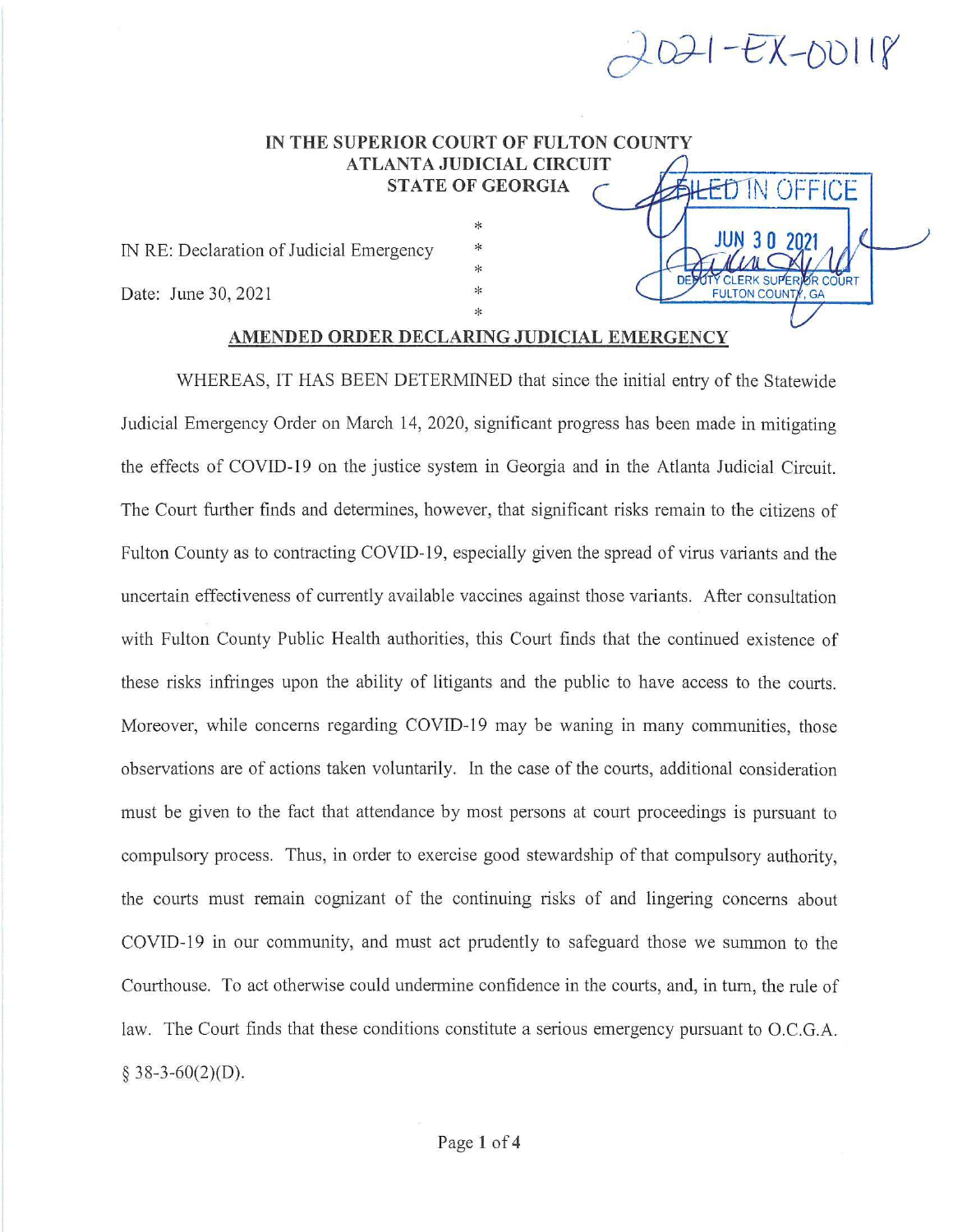

DED OTY CLERK SUPERIOR COURT **ILTON COUNTY, GA** 

\* DESCRIPTION COUNTY, GA

## IN THE SUPERIOR COURT OF FULTON COUNTY ATLANTA JUDICIAL CIRCUIT<br>STATE OF GEORGIA CALLED IN OFFICE IN THE SUPERIOR COURT OF FULTON COUNTY<br>
ATLANTA JUDICIAL CIRCUIT<br>
STATE OF GEORGIA<br>  $\frac{100}{30}$ <br>
Date: June 30, 2021<br>
ALLANTA JUDICIAL CIRCUIT<br>  $\frac{100}{30}$ <br>
Date: June 30, 2021<br>  $\frac{100}{30}$ <br>  $\frac{100}{30}$ <br>
Date: Superig

IN RE: Declaration of Judicial Emergency

## AMENDED ORDER DECLARING JUDICIAL EMERGENCY

\* \*

 $*$ 

WHEREAS, IT HAS BEEN DETERMINED that since the initial entry of the Statewide Judicial Emergency Order on March 14, 2020, significant progress has been made in mitigating the effects of COVID-19 on the justice system in Georgia and in the Atlanta Judicial Circuit. The Court further finds and determines, however, that significant risks remain to the citizens of Fulton County as to contracting COVID-19, especially given the spread of virus variants and the uncertain effectiveness of currently available vaccines against those variants. After consultation with Fulton County Public Health authorities, this Court finds that the continued existence of these risks infringes upon the ability of litigants and the public to have access to the courts. Moreover, while concerns regarding COVID-19 may be waning in many communities, those observations are of actions taken voluntarily. In the case of the courts, additional consideration must be given to the fact that attendance by most persons at court proceedings is pursuant to compulsory process. Thus, in order to exercise good stewardship of that compulsory authority, the courts must remain cognizant of the continuing risks of and lingering concerns about COVID-19 in our community, and must act prudently to safeguard those we summon to the Courthouse. To act otherwise could undermine confidence in the courts, and, in turn, the rule of law. The Court finds that these conditions constitute a serious emergency pursuant to O.C.G.A.  $§$  38-3-60(2)(D).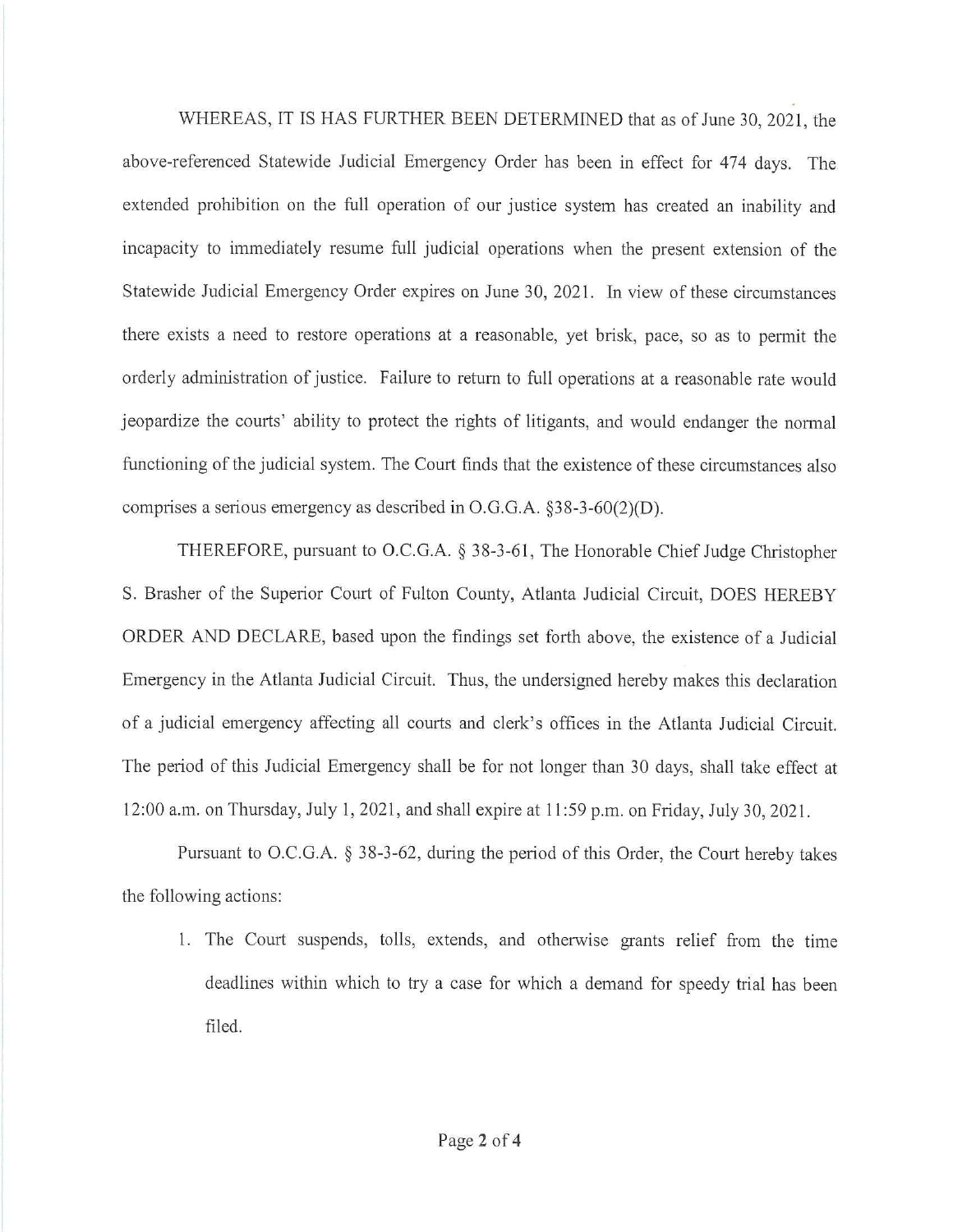WHEREAS, IT IS HAS FURTHER BEEN DETERMINED that as of June 30, 2021, the above-referenced Statewide Judicial Emergency Order has been in effect for 474 days. The extended prohibition on the full operation of our justice system has created an inability and incapacity to immediately resume full judicial operations when the present extension of the Statewide Judicial Emergency Order expires on June 30, 2021. In view of these circumstances there exists a need to restore operations at a reasonable, yet brisk, pace, so as to permit the orderly administration of justice. Failure to return to full operations at a reasonable rate would jeopardize the courts' ability to protect the rights of litigants, and would endanger the normal functioning of the judicial system. The Court finds that the existence of these circumstances also comprises a serious emergency as described in  $O.G.G.A.$  §38-3-60(2)(D).

THEREFORE,pursuant to O.C.G.A. § 38-3-61, The Honorable Chief Judge Christopher S. Brasher of the Superior Court of Fulton County, Atlanta Judicial Circuit, DOES HEREBY ORDER AND DECLARE, based upon the findings set forth above, the existence of a Judicial Emergency in the Atlanta Judicial Circuit. Thus, the undersigned hereby makes this declaration of a judicial emergency affecting all courts and clerk's offices in the Atlanta Judicial Circuit. The period of this Judicial Emergency shall be for not longer than 30 days, shall take effect at 12:00 a.m. on Thursday, July 1, 2021, and shall expire at 11:59 p.m. on Friday, July 30, 2021.

Pursuant to O.C.G.A. § 38-3-62, during the period of this Order, the Court hereby takes the following actions:

1. The Court suspends, tolls, extends, and otherwise grants relief from the time deadlines within which to try a case for which a demand for speedy trial has been filed.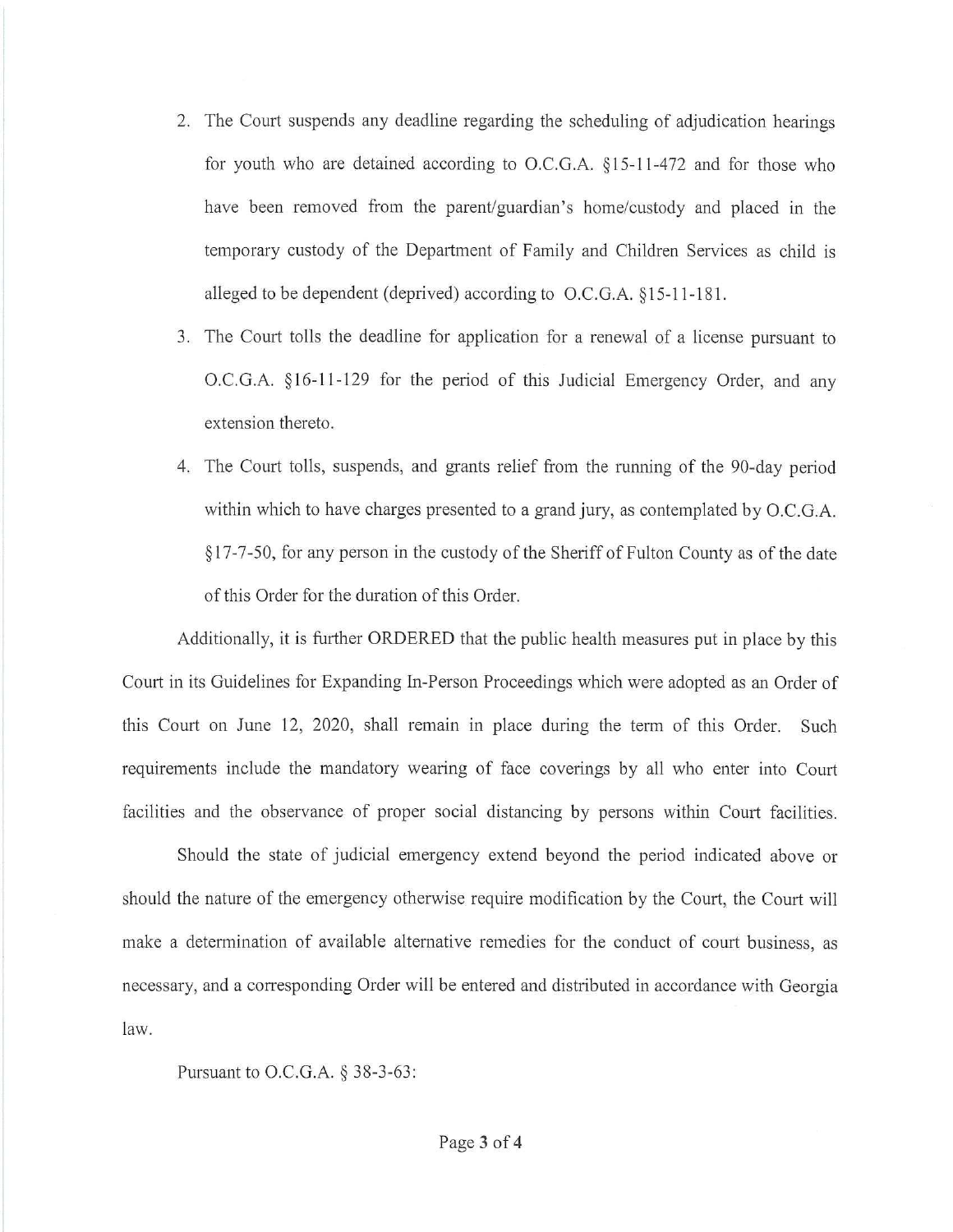- 2. The Court suspends any deadline regarding the scheduling of adjudication hearings for youth who are detained according to O.C.G.A. §15-11-472 and for those who have been removed from the parent/guardian's home/custody and placed in the temporary custody of the Department of Family and Children Services as child is alleged to be dependent (deprived) according to O.C.G.A. §15-11-181.
- 3. The Court tolls the deadline for application for a renewal of a license pursuant to O.C.G.A. §16-11-129 for the period of this Judicial Emergency Order, and any extension thereto.
- 4. The Court tolls, suspends, and grants relief from the running of the 90-day period within which to have charges presented to a grand jury, as contemplated by O.C.G.A. §17-7-50, for any person in the custody of the Sheriff of Fulton County as of the date of this Order for the duration of this Order.

Additionally, it is further ORDERED that the public health measures put in place by this Court in its Guidelines for Expanding In-Person Proceedings which were adopted as an Order of this Court on June 12, 2020, shall remain in place during the term of this Order. Such requirements include the mandatory wearing of face coverings by all who enter into Court facilities and the observance of proper social distancing by persons within Court facilities.

Should the state of judicial emergency extend beyond the period indicated above or should the nature of the emergency otherwise require modification by the Court, the Court will make a determination of available alternative remedies for the conduct of court business, as necessary, and a corresponding Order will be entered and distributed in accordance with Georgia law.

Pursuant to O.C.G.A. § 38-3-63: